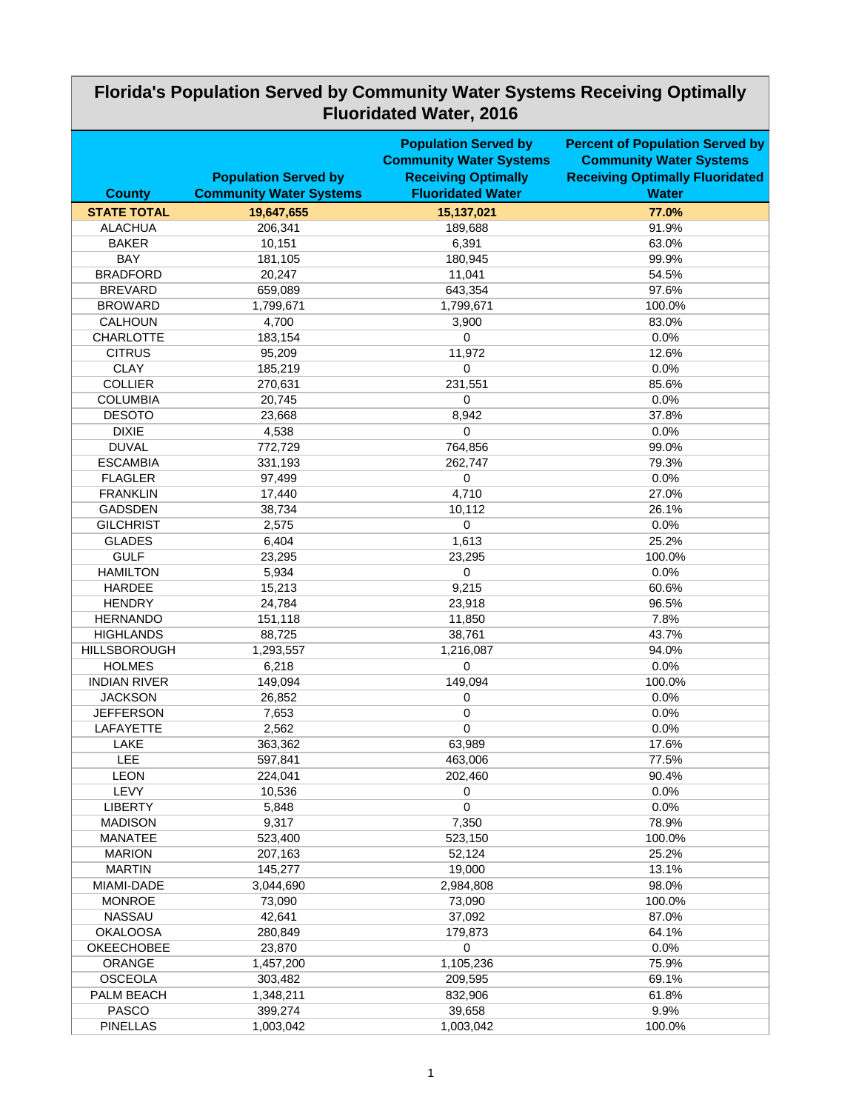| Florida's Population Served by Community Water Systems Receiving Optimally<br><b>Fluoridated Water, 2016</b> |                                                               |                                                                                                                         |                                                                                                                                    |  |
|--------------------------------------------------------------------------------------------------------------|---------------------------------------------------------------|-------------------------------------------------------------------------------------------------------------------------|------------------------------------------------------------------------------------------------------------------------------------|--|
| <b>County</b>                                                                                                | <b>Population Served by</b><br><b>Community Water Systems</b> | <b>Population Served by</b><br><b>Community Water Systems</b><br><b>Receiving Optimally</b><br><b>Fluoridated Water</b> | <b>Percent of Population Served by</b><br><b>Community Water Systems</b><br><b>Receiving Optimally Fluoridated</b><br><b>Water</b> |  |
| <b>STATE TOTAL</b>                                                                                           | 19,647,655                                                    | 15,137,021                                                                                                              | 77.0%                                                                                                                              |  |
| <b>ALACHUA</b>                                                                                               | 206,341                                                       | 189,688                                                                                                                 | 91.9%                                                                                                                              |  |
| <b>BAKER</b>                                                                                                 | 10,151                                                        | 6,391                                                                                                                   | 63.0%                                                                                                                              |  |
| <b>BAY</b>                                                                                                   | 181,105                                                       | 180,945                                                                                                                 | 99.9%                                                                                                                              |  |
| <b>BRADFORD</b>                                                                                              | 20,247                                                        | 11,041                                                                                                                  | 54.5%                                                                                                                              |  |
| <b>BREVARD</b>                                                                                               | 659,089                                                       | 643,354                                                                                                                 | 97.6%                                                                                                                              |  |
| <b>BROWARD</b>                                                                                               | 1,799,671                                                     | 1,799,671                                                                                                               | 100.0%                                                                                                                             |  |
| <b>CALHOUN</b>                                                                                               | 4,700                                                         | 3,900                                                                                                                   | 83.0%                                                                                                                              |  |
| <b>CHARLOTTE</b>                                                                                             | 183,154                                                       | 0                                                                                                                       | 0.0%                                                                                                                               |  |
| <b>CITRUS</b>                                                                                                | 95,209                                                        | 11,972                                                                                                                  | 12.6%                                                                                                                              |  |
| <b>CLAY</b>                                                                                                  | 185,219                                                       | 0                                                                                                                       | 0.0%                                                                                                                               |  |
| <b>COLLIER</b>                                                                                               | 270,631                                                       | 231,551                                                                                                                 | 85.6%                                                                                                                              |  |
| <b>COLUMBIA</b>                                                                                              | 20,745                                                        | 0                                                                                                                       | 0.0%                                                                                                                               |  |
| <b>DESOTO</b>                                                                                                | 23,668                                                        | 8,942                                                                                                                   | 37.8%                                                                                                                              |  |
| <b>DIXIE</b>                                                                                                 | 4,538                                                         | 0                                                                                                                       | 0.0%                                                                                                                               |  |
| <b>DUVAL</b>                                                                                                 | 772,729                                                       | 764,856                                                                                                                 | 99.0%                                                                                                                              |  |
| <b>ESCAMBIA</b>                                                                                              | 331,193                                                       | 262,747                                                                                                                 | 79.3%                                                                                                                              |  |
| <b>FLAGLER</b>                                                                                               | 97,499                                                        | 0                                                                                                                       | 0.0%                                                                                                                               |  |
| <b>FRANKLIN</b>                                                                                              | 17,440                                                        | 4,710                                                                                                                   | 27.0%                                                                                                                              |  |
| <b>GADSDEN</b>                                                                                               | 38,734                                                        | 10,112                                                                                                                  | 26.1%                                                                                                                              |  |
| <b>GILCHRIST</b>                                                                                             | 2,575                                                         | 0                                                                                                                       | 0.0%                                                                                                                               |  |
| <b>GLADES</b>                                                                                                | 6,404                                                         | 1,613                                                                                                                   | 25.2%                                                                                                                              |  |
| <b>GULF</b>                                                                                                  | 23,295                                                        | 23,295                                                                                                                  | 100.0%                                                                                                                             |  |
| <b>HAMILTON</b>                                                                                              | 5,934                                                         | $\mathbf 0$                                                                                                             | 0.0%                                                                                                                               |  |
| <b>HARDEE</b>                                                                                                | 15,213                                                        | 9,215                                                                                                                   | 60.6%                                                                                                                              |  |
| <b>HENDRY</b>                                                                                                | 24,784                                                        | 23,918                                                                                                                  | 96.5%                                                                                                                              |  |
| <b>HERNANDO</b>                                                                                              | 151,118                                                       | 11,850                                                                                                                  | 7.8%                                                                                                                               |  |
| <b>HIGHLANDS</b>                                                                                             | 88,725                                                        | 38,761                                                                                                                  | 43.7%                                                                                                                              |  |
| <b>HILLSBOROUGH</b>                                                                                          | 1,293,557                                                     | 1,216,087                                                                                                               | 94.0%                                                                                                                              |  |
| <b>HOLMES</b>                                                                                                | 6,218                                                         | 0                                                                                                                       | 0.0%                                                                                                                               |  |
| <b>INDIAN RIVER</b>                                                                                          | 149,094                                                       | 149,094                                                                                                                 | 100.0%                                                                                                                             |  |
| <b>JACKSON</b>                                                                                               | 26,852                                                        | 0                                                                                                                       | 0.0%                                                                                                                               |  |
| <b>JEFFERSON</b>                                                                                             | 7,653                                                         | 0                                                                                                                       | 0.0%                                                                                                                               |  |
| <b>LAFAYETTE</b>                                                                                             | 2,562                                                         | $\boldsymbol{0}$                                                                                                        | 0.0%                                                                                                                               |  |
| <b>LAKE</b>                                                                                                  | 363,362                                                       | 63,989                                                                                                                  | 17.6%                                                                                                                              |  |
| <b>LEE</b>                                                                                                   | 597,841                                                       | 463,006                                                                                                                 | 77.5%                                                                                                                              |  |
| <b>LEON</b>                                                                                                  | 224,041                                                       | 202,460                                                                                                                 | 90.4%                                                                                                                              |  |
| <b>LEVY</b>                                                                                                  | 10,536                                                        | 0                                                                                                                       | 0.0%                                                                                                                               |  |
| <b>LIBERTY</b>                                                                                               | 5,848                                                         | 0                                                                                                                       | 0.0%                                                                                                                               |  |
| <b>MADISON</b>                                                                                               | 9,317                                                         | 7,350                                                                                                                   | 78.9%                                                                                                                              |  |
| <b>MANATEE</b>                                                                                               | 523,400                                                       | 523,150                                                                                                                 | 100.0%                                                                                                                             |  |
| <b>MARION</b>                                                                                                | 207,163                                                       | 52,124                                                                                                                  | 25.2%                                                                                                                              |  |
| <b>MARTIN</b>                                                                                                | 145,277                                                       | 19,000                                                                                                                  | 13.1%                                                                                                                              |  |
| MIAMI-DADE                                                                                                   | 3,044,690                                                     | 2,984,808                                                                                                               | 98.0%                                                                                                                              |  |
| <b>MONROE</b>                                                                                                | 73,090                                                        | 73,090                                                                                                                  | 100.0%                                                                                                                             |  |
| <b>NASSAU</b>                                                                                                | 42,641                                                        | 37,092                                                                                                                  | 87.0%                                                                                                                              |  |
| <b>OKALOOSA</b>                                                                                              | 280,849                                                       | 179,873                                                                                                                 | 64.1%                                                                                                                              |  |
| <b>OKEECHOBEE</b>                                                                                            | 23,870                                                        | 0                                                                                                                       | 0.0%                                                                                                                               |  |
| <b>ORANGE</b>                                                                                                | 1,457,200                                                     | 1,105,236                                                                                                               | 75.9%                                                                                                                              |  |
| <b>OSCEOLA</b>                                                                                               | 303,482                                                       | 209,595                                                                                                                 | 69.1%                                                                                                                              |  |
| PALM BEACH                                                                                                   | 1,348,211                                                     | 832,906                                                                                                                 | 61.8%                                                                                                                              |  |
| <b>PASCO</b>                                                                                                 | 399,274                                                       | 39,658                                                                                                                  | 9.9%                                                                                                                               |  |
| <b>PINELLAS</b>                                                                                              | 1,003,042                                                     | 1,003,042                                                                                                               | 100.0%                                                                                                                             |  |

## **Florida's Population Served by Community Water Systems Receiving Optimally**

 $\overline{\phantom{a}}$